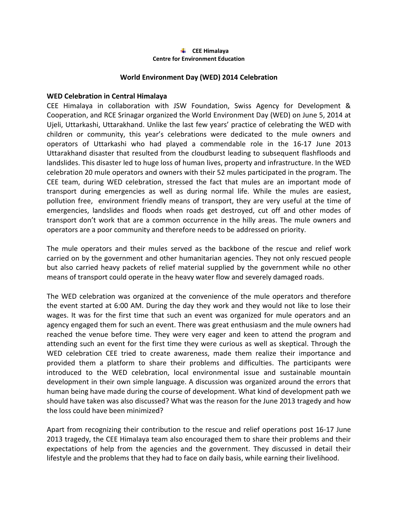## **CEE Himalaya Centre for Environment Education**

## **World Environment Day (WED) 2014 Celebration**

## **WED Celebration in Central Himalaya**

CEE Himalaya in collaboration with JSW Foundation, Swiss Agency for Development & Cooperation, and RCE Srinagar organized the World Environment Day (WED) on June 5, 2014 at Ujeli, Uttarkashi, Uttarakhand. Unlike the last few years' practice of celebrating the WED with children or community, this year's celebrations were dedicated to the mule owners and operators of Uttarkashi who had played a commendable role in the 16-17 June 2013 Uttarakhand disaster that resulted from the cloudburst leading to subsequent flashfloods and landslides. This disaster led to huge loss of human lives, property and infrastructure. In the WED celebration 20 mule operators and owners with their 52 mules participated in the program. The CEE team, during WED celebration, stressed the fact that mules are an important mode of transport during emergencies as well as during normal life. While the mules are easiest, pollution free, environment friendly means of transport, they are very useful at the time of emergencies, landslides and floods when roads get destroyed, cut off and other modes of transport don't work that are a common occurrence in the hilly areas. The mule owners and operators are a poor community and therefore needs to be addressed on priority.

The mule operators and their mules served as the backbone of the rescue and relief work carried on by the government and other humanitarian agencies. They not only rescued people but also carried heavy packets of relief material supplied by the government while no other means of transport could operate in the heavy water flow and severely damaged roads.

The WED celebration was organized at the convenience of the mule operators and therefore the event started at 6:00 AM. During the day they work and they would not like to lose their wages. It was for the first time that such an event was organized for mule operators and an agency engaged them for such an event. There was great enthusiasm and the mule owners had reached the venue before time. They were very eager and keen to attend the program and attending such an event for the first time they were curious as well as skeptical. Through the WED celebration CEE tried to create awareness, made them realize their importance and provided them a platform to share their problems and difficulties. The participants were introduced to the WED celebration, local environmental issue and sustainable mountain development in their own simple language. A discussion was organized around the errors that human being have made during the course of development. What kind of development path we should have taken was also discussed? What was the reason for the June 2013 tragedy and how the loss could have been minimized?

Apart from recognizing their contribution to the rescue and relief operations post 16-17 June 2013 tragedy, the CEE Himalaya team also encouraged them to share their problems and their expectations of help from the agencies and the government. They discussed in detail their lifestyle and the problems that they had to face on daily basis, while earning their livelihood.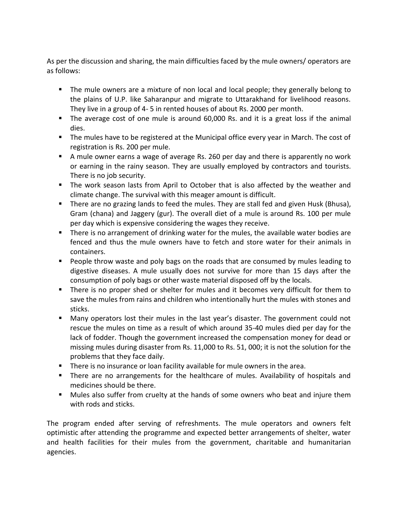As per the discussion and sharing, the main difficulties faced by the mule owners/ operators are as follows:

- The mule owners are a mixture of non local and local people; they generally belong to the plains of U.P. like Saharanpur and migrate to Uttarakhand for livelihood reasons. They live in a group of 4- 5 in rented houses of about Rs. 2000 per month.
- The average cost of one mule is around 60,000 Rs. and it is a great loss if the animal dies.
- **The mules have to be registered at the Municipal office every year in March. The cost of** registration is Rs. 200 per mule.
- A mule owner earns a wage of average Rs. 260 per day and there is apparently no work or earning in the rainy season. They are usually employed by contractors and tourists. There is no job security.
- The work season lasts from April to October that is also affected by the weather and climate change. The survival with this meager amount is difficult.
- **There are no grazing lands to feed the mules. They are stall fed and given Husk (Bhusa),** Gram (chana) and Jaggery (gur). The overall diet of a mule is around Rs. 100 per mule per day which is expensive considering the wages they receive.
- **There is no arrangement of drinking water for the mules, the available water bodies are** fenced and thus the mule owners have to fetch and store water for their animals in containers.
- People throw waste and poly bags on the roads that are consumed by mules leading to digestive diseases. A mule usually does not survive for more than 15 days after the consumption of poly bags or other waste material disposed off by the locals.
- **There is no proper shed or shelter for mules and it becomes very difficult for them to** save the mules from rains and children who intentionally hurt the mules with stones and sticks.
- Many operators lost their mules in the last year's disaster. The government could not rescue the mules on time as a result of which around 35-40 mules died per day for the lack of fodder. Though the government increased the compensation money for dead or missing mules during disaster from Rs. 11,000 to Rs. 51, 000; it is not the solution for the problems that they face daily.
- There is no insurance or loan facility available for mule owners in the area.
- **There are no arrangements for the healthcare of mules. Availability of hospitals and** medicines should be there.
- Mules also suffer from cruelty at the hands of some owners who beat and injure them with rods and sticks.

The program ended after serving of refreshments. The mule operators and owners felt optimistic after attending the programme and expected better arrangements of shelter, water and health facilities for their mules from the government, charitable and humanitarian agencies.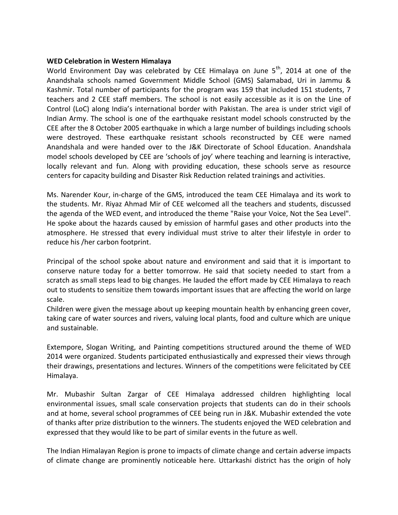## **WED Celebration in Western Himalaya**

World Environment Day was celebrated by CEE Himalaya on June  $5<sup>th</sup>$ , 2014 at one of the Anandshala schools named Government Middle School (GMS) Salamabad, Uri in Jammu & Kashmir. Total number of participants for the program was 159 that included 151 students, 7 teachers and 2 CEE staff members. The school is not easily accessible as it is on the Line of Control (LoC) along India's international border with Pakistan. The area is under strict vigil of Indian Army. The school is one of the earthquake resistant model schools constructed by the CEE after the 8 October 2005 earthquake in which a large number of buildings including schools were destroyed. These earthquake resistant schools reconstructed by CEE were named Anandshala and were handed over to the J&K Directorate of School Education. Anandshala model schools developed by CEE are 'schools of joy' where teaching and learning is interactive, locally relevant and fun. Along with providing education, these schools serve as resource centers for capacity building and Disaster Risk Reduction related trainings and activities.

Ms. Narender Kour, in-charge of the GMS, introduced the team CEE Himalaya and its work to the students. Mr. Riyaz Ahmad Mir of CEE welcomed all the teachers and students, discussed the agenda of the WED event, and introduced the theme "Raise your Voice, Not the Sea Level". He spoke about the hazards caused by emission of harmful gases and other products into the atmosphere. He stressed that every individual must strive to alter their lifestyle in order to reduce his /her carbon footprint.

Principal of the school spoke about nature and environment and said that it is important to conserve nature today for a better tomorrow. He said that society needed to start from a scratch as small steps lead to big changes. He lauded the effort made by CEE Himalaya to reach out to students to sensitize them towards important issues that are affecting the world on large scale.

Children were given the message about up keeping mountain health by enhancing green cover, taking care of water sources and rivers, valuing local plants, food and culture which are unique and sustainable.

Extempore, Slogan Writing, and Painting competitions structured around the theme of WED 2014 were organized. Students participated enthusiastically and expressed their views through their drawings, presentations and lectures. Winners of the competitions were felicitated by CEE Himalaya.

Mr. Mubashir Sultan Zargar of CEE Himalaya addressed children highlighting local environmental issues, small scale conservation projects that students can do in their schools and at home, several school programmes of CEE being run in J&K. Mubashir extended the vote of thanks after prize distribution to the winners. The students enjoyed the WED celebration and expressed that they would like to be part of similar events in the future as well.

The Indian Himalayan Region is prone to impacts of climate change and certain adverse impacts of climate change are prominently noticeable here. Uttarkashi district has the origin of holy